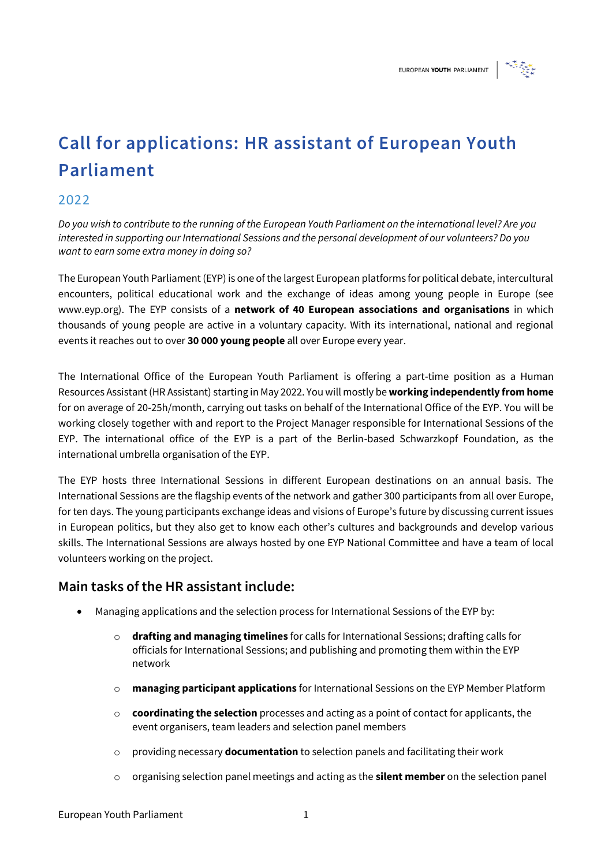

# **Call for applications: HR assistant of European Youth Parliament**

### 2022

*Do you wish to contribute to the running of the European Youth Parliament on the international level? Are you interested in supporting our International Sessions and the personal development of our volunteers? Do you want to earn some extra money in doing so?* 

The European Youth Parliament (EYP) is one of the largest European platforms for political debate, intercultural encounters, political educational work and the exchange of ideas among young people in Europe (see www.eyp.org). The EYP consists of a **network of 40 European associations and organisations** in which thousands of young people are active in a voluntary capacity. With its international, national and regional events it reaches out to over **30 000 young people** all over Europe every year.

The International Office of the European Youth Parliament is offering a part-time position as a Human Resources Assistant (HR Assistant) starting in May 2022. You will mostly be **working independently from home** for on average of 20-25h/month, carrying out tasks on behalf of the International Office of the EYP. You will be working closely together with and report to the Project Manager responsible for International Sessions of the EYP. The international office of the EYP is a part of the Berlin-based Schwarzkopf Foundation, as the international umbrella organisation of the EYP.

The EYP hosts three International Sessions in different European destinations on an annual basis. The International Sessions are the flagship events of the network and gather 300 participants from all over Europe, for ten days. The young participants exchange ideas and visions of Europe's future by discussing current issues in European politics, but they also get to know each other's cultures and backgrounds and develop various skills. The International Sessions are always hosted by one EYP National Committee and have a team of local volunteers working on the project.

#### **Main tasks of the HR assistant include:**

- Managing applications and the selection process for International Sessions of the EYP by:
	- o **drafting and managing timelines** for calls for International Sessions; drafting calls for officials for International Sessions; and publishing and promoting them within the EYP network
	- o **managing participant applications** for International Sessions on the EYP Member Platform
	- o **coordinating the selection** processes and acting as a point of contact for applicants, the event organisers, team leaders and selection panel members
	- o providing necessary **documentation** to selection panels and facilitating their work
	- o organising selection panel meetings and acting as the **silent member** on the selection panel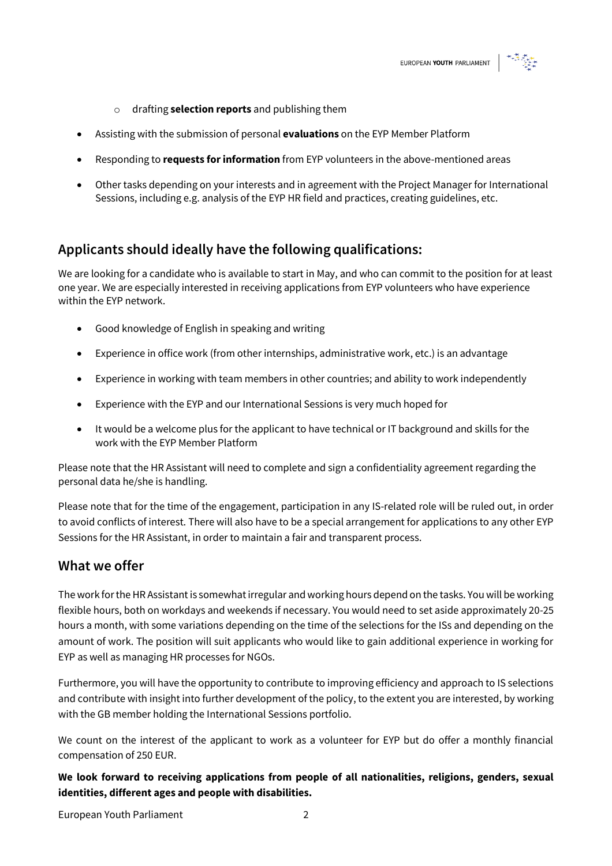

- o drafting **selection reports** and publishing them
- Assisting with the submission of personal **evaluations** on the EYP Member Platform
- Responding to **requests for information** from EYP volunteers in the above-mentioned areas
- Other tasks depending on your interests and in agreement with the Project Manager for International Sessions, including e.g. analysis of the EYP HR field and practices, creating guidelines, etc.

#### **Applicants should ideally have the following qualifications:**

We are looking for a candidate who is available to start in May, and who can commit to the position for at least one year. We are especially interested in receiving applications from EYP volunteers who have experience within the EYP network.

- Good knowledge of English in speaking and writing
- Experience in office work (from other internships, administrative work, etc.) is an advantage
- Experience in working with team members in other countries; and ability to work independently
- Experience with the EYP and our International Sessions is very much hoped for
- It would be a welcome plus for the applicant to have technical or IT background and skills for the work with the EYP Member Platform

Please note that the HR Assistant will need to complete and sign a confidentiality agreement regarding the personal data he/she is handling.

Please note that for the time of the engagement, participation in any IS-related role will be ruled out, in order to avoid conflicts of interest. There will also have to be a special arrangement for applications to any other EYP Sessions for the HR Assistant, in order to maintain a fair and transparent process.

#### **What we offer**

The work for the HR Assistant is somewhat irregular and working hours depend on the tasks. You will be working flexible hours, both on workdays and weekends if necessary. You would need to set aside approximately 20-25 hours a month, with some variations depending on the time of the selections for the ISs and depending on the amount of work. The position will suit applicants who would like to gain additional experience in working for EYP as well as managing HR processes for NGOs.

Furthermore, you will have the opportunity to contribute to improving efficiency and approach to IS selections and contribute with insight into further development of the policy, to the extent you are interested, by working with the GB member holding the International Sessions portfolio.

We count on the interest of the applicant to work as a volunteer for EYP but do offer a monthly financial compensation of 250 EUR.

**We look forward to receiving applications from people of all nationalities, religions, genders, sexual identities, different ages and people with disabilities.**

European Youth Parliament 2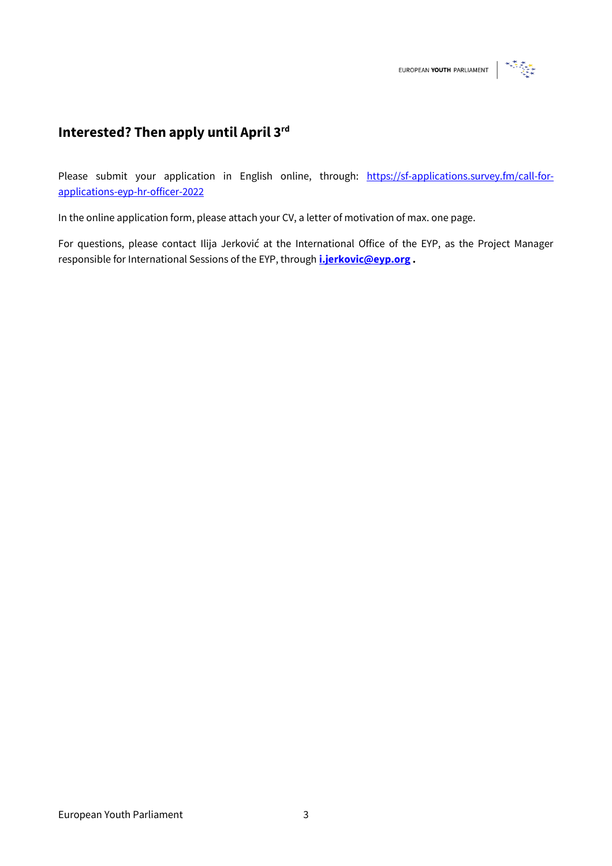## **Interested? Then apply until April 3rd**

Please submit your application in English online, through: [https://sf-applications.survey.fm/call-for](https://sf-applications.survey.fm/call-for-applications-eyp-hr-officer-2022)[applications-eyp-hr-officer-2022](https://sf-applications.survey.fm/call-for-applications-eyp-hr-officer-2022)

In the online application form, please attach your CV, a letter of motivation of max. one page.

For questions, please contact Ilija Jerković at the International Office of the EYP, as the Project Manager responsible for International Sessions of the EYP, through **[i.jerkovic@eyp.org](mailto:i.jerkovic@eyp.org) .**